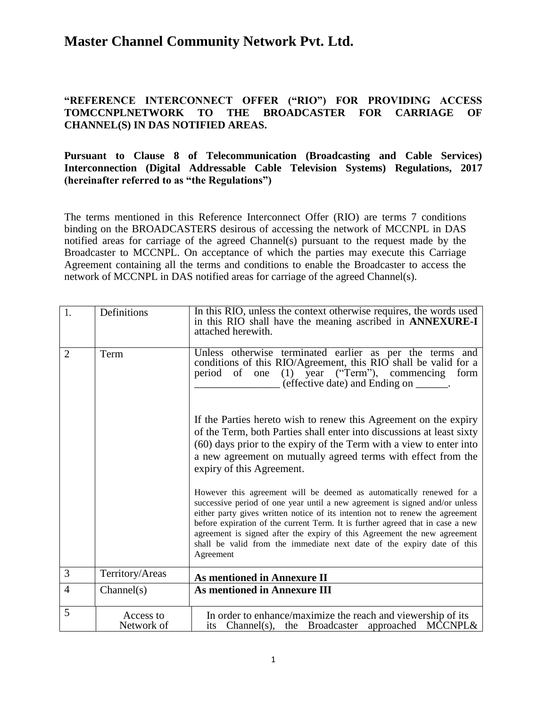#### **"REFERENCE INTERCONNECT OFFER ("RIO") FOR PROVIDING ACCESS TOMCCNPLNETWORK TO THE BROADCASTER FOR CARRIAGE OF CHANNEL(S) IN DAS NOTIFIED AREAS.**

#### **Pursuant to Clause 8 of Telecommunication (Broadcasting and Cable Services) Interconnection (Digital Addressable Cable Television Systems) Regulations, 2017 (hereinafter referred to as "the Regulations")**

The terms mentioned in this Reference Interconnect Offer (RIO) are terms 7 conditions binding on the BROADCASTERS desirous of accessing the network of MCCNPL in DAS notified areas for carriage of the agreed Channel(s) pursuant to the request made by the Broadcaster to MCCNPL. On acceptance of which the parties may execute this Carriage Agreement containing all the terms and conditions to enable the Broadcaster to access the network of MCCNPL in DAS notified areas for carriage of the agreed Channel(s).

| 1.             | Definitions             | In this RIO, unless the context otherwise requires, the words used<br>in this RIO shall have the meaning ascribed in <b>ANNEXURE-I</b><br>attached herewith.                                                                                                                                                                                                                                                                                                                              |
|----------------|-------------------------|-------------------------------------------------------------------------------------------------------------------------------------------------------------------------------------------------------------------------------------------------------------------------------------------------------------------------------------------------------------------------------------------------------------------------------------------------------------------------------------------|
| $\overline{2}$ | Term                    | Unless otherwise terminated earlier as per the terms and<br>conditions of this RIO/Agreement, this RIO shall be valid for a<br>period of one (1) year ("Term"), commencing<br>form<br>(effective date) and Ending on _______.                                                                                                                                                                                                                                                             |
|                |                         | If the Parties hereto wish to renew this Agreement on the expiry<br>of the Term, both Parties shall enter into discussions at least sixty<br>(60) days prior to the expiry of the Term with a view to enter into<br>a new agreement on mutually agreed terms with effect from the<br>expiry of this Agreement.                                                                                                                                                                            |
|                |                         | However this agreement will be deemed as automatically renewed for a<br>successive period of one year until a new agreement is signed and/or unless<br>either party gives written notice of its intention not to renew the agreement<br>before expiration of the current Term. It is further agreed that in case a new<br>agreement is signed after the expiry of this Agreement the new agreement<br>shall be valid from the immediate next date of the expiry date of this<br>Agreement |
| 3              | Territory/Areas         | <b>As mentioned in Annexure II</b>                                                                                                                                                                                                                                                                                                                                                                                                                                                        |
| $\overline{4}$ | Channel(s)              | <b>As mentioned in Annexure III</b>                                                                                                                                                                                                                                                                                                                                                                                                                                                       |
| 5              | Access to<br>Network of | In order to enhance/maximize the reach and viewership of its<br>its Channel(s), the Broadcaster approached MCCNPL&                                                                                                                                                                                                                                                                                                                                                                        |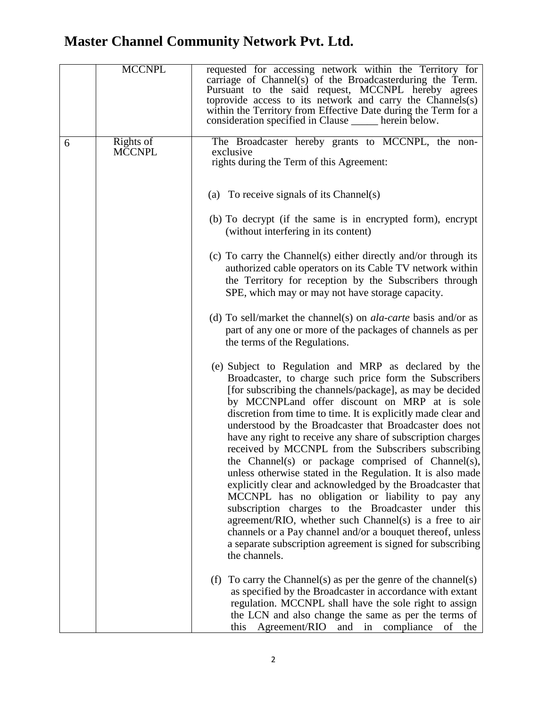|   | <b>MCCNPL</b>              | requested for accessing network within the Territory for<br>carriage of Channel(s) of the Broadcasterduring the Term.<br>Pursuant to the said request, MCCNPL hereby agrees<br>toprovide access to its network and carry the Channels(s)<br>within the Territory from Effective Date during the Term for a<br>consideration specified in Clause ______ herein below.                                                                                                                                                                                                                                                                                                                                                                                                                                                                                                                                                                                                               |
|---|----------------------------|------------------------------------------------------------------------------------------------------------------------------------------------------------------------------------------------------------------------------------------------------------------------------------------------------------------------------------------------------------------------------------------------------------------------------------------------------------------------------------------------------------------------------------------------------------------------------------------------------------------------------------------------------------------------------------------------------------------------------------------------------------------------------------------------------------------------------------------------------------------------------------------------------------------------------------------------------------------------------------|
| 6 | Rights of<br><b>MCCNPL</b> | The Broadcaster hereby grants to MCCNPL, the non-<br>exclusive<br>rights during the Term of this Agreement:                                                                                                                                                                                                                                                                                                                                                                                                                                                                                                                                                                                                                                                                                                                                                                                                                                                                        |
|   |                            | (a) To receive signals of its Channel(s)                                                                                                                                                                                                                                                                                                                                                                                                                                                                                                                                                                                                                                                                                                                                                                                                                                                                                                                                           |
|   |                            | (b) To decrypt (if the same is in encrypted form), encrypt<br>(without interfering in its content)                                                                                                                                                                                                                                                                                                                                                                                                                                                                                                                                                                                                                                                                                                                                                                                                                                                                                 |
|   |                            | (c) To carry the Channel(s) either directly and/or through its<br>authorized cable operators on its Cable TV network within<br>the Territory for reception by the Subscribers through<br>SPE, which may or may not have storage capacity.                                                                                                                                                                                                                                                                                                                                                                                                                                                                                                                                                                                                                                                                                                                                          |
|   |                            | (d) To sell/market the channel(s) on <i>ala-carte</i> basis and/or as<br>part of any one or more of the packages of channels as per<br>the terms of the Regulations.                                                                                                                                                                                                                                                                                                                                                                                                                                                                                                                                                                                                                                                                                                                                                                                                               |
|   |                            | (e) Subject to Regulation and MRP as declared by the<br>Broadcaster, to charge such price form the Subscribers<br>[for subscribing the channels/package], as may be decided<br>by MCCNPLand offer discount on MRP at is sole<br>discretion from time to time. It is explicitly made clear and<br>understood by the Broadcaster that Broadcaster does not<br>have any right to receive any share of subscription charges<br>received by MCCNPL from the Subscribers subscribing<br>the Channel(s) or package comprised of Channel(s),<br>unless otherwise stated in the Regulation. It is also made<br>explicitly clear and acknowledged by the Broadcaster that<br>MCCNPL has no obligation or liability to pay any<br>subscription charges to the Broadcaster under this<br>agreement/RIO, whether such Channel(s) is a free to air<br>channels or a Pay channel and/or a bouquet thereof, unless<br>a separate subscription agreement is signed for subscribing<br>the channels. |
|   |                            | To carry the Channel(s) as per the genre of the channel(s)<br>(f)<br>as specified by the Broadcaster in accordance with extant<br>regulation. MCCNPL shall have the sole right to assign<br>the LCN and also change the same as per the terms of<br>this<br>Agreement/RIO and in compliance<br>of<br>the                                                                                                                                                                                                                                                                                                                                                                                                                                                                                                                                                                                                                                                                           |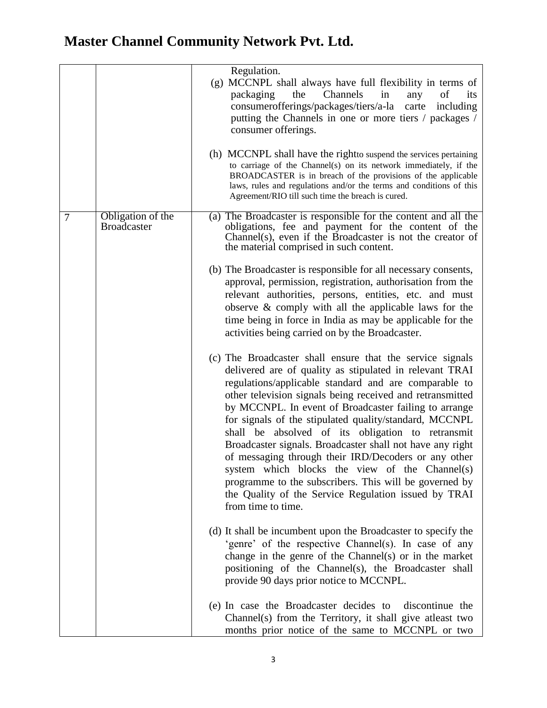|                  |                                         | Regulation.<br>(g) MCCNPL shall always have full flexibility in terms of<br>Channels<br>of<br>packaging<br>the<br>in<br>any<br><i>its</i><br>consumerofferings/packages/tiers/a-la carte<br>including<br>putting the Channels in one or more tiers / packages /<br>consumer offerings.<br>(h) MCCNPL shall have the rightto suspend the services pertaining                                                                                                                                                                                                                                                                                                                                                                       |
|------------------|-----------------------------------------|-----------------------------------------------------------------------------------------------------------------------------------------------------------------------------------------------------------------------------------------------------------------------------------------------------------------------------------------------------------------------------------------------------------------------------------------------------------------------------------------------------------------------------------------------------------------------------------------------------------------------------------------------------------------------------------------------------------------------------------|
|                  |                                         | to carriage of the Channel(s) on its network immediately, if the<br>BROADCASTER is in breach of the provisions of the applicable<br>laws, rules and regulations and/or the terms and conditions of this<br>Agreement/RIO till such time the breach is cured.                                                                                                                                                                                                                                                                                                                                                                                                                                                                      |
| $\boldsymbol{7}$ | Obligation of the<br><b>Broadcaster</b> | (a) The Broadcaster is responsible for the content and all the<br>obligations, fee and payment for the content of the<br>Channel(s), even if the Broadcaster is not the creator of<br>the material comprised in such content.                                                                                                                                                                                                                                                                                                                                                                                                                                                                                                     |
|                  |                                         | (b) The Broadcaster is responsible for all necessary consents,<br>approval, permission, registration, authorisation from the<br>relevant authorities, persons, entities, etc. and must<br>observe $\&$ comply with all the applicable laws for the<br>time being in force in India as may be applicable for the<br>activities being carried on by the Broadcaster.                                                                                                                                                                                                                                                                                                                                                                |
|                  |                                         | (c) The Broadcaster shall ensure that the service signals<br>delivered are of quality as stipulated in relevant TRAI<br>regulations/applicable standard and are comparable to<br>other television signals being received and retransmitted<br>by MCCNPL. In event of Broadcaster failing to arrange<br>for signals of the stipulated quality/standard, MCCNPL<br>shall be absolved of its obligation to retransmit<br>Broadcaster signals. Broadcaster shall not have any right<br>of messaging through their IRD/Decoders or any other<br>system which blocks the view of the Channel(s)<br>programme to the subscribers. This will be governed by<br>the Quality of the Service Regulation issued by TRAI<br>from time to time. |
|                  |                                         | (d) It shall be incumbent upon the Broadcaster to specify the<br>'genre' of the respective Channel(s). In case of any<br>change in the genre of the Channel(s) or in the market<br>positioning of the Channel(s), the Broadcaster shall<br>provide 90 days prior notice to MCCNPL.                                                                                                                                                                                                                                                                                                                                                                                                                                                |
|                  |                                         | (e) In case the Broadcaster decides to<br>discontinue the<br>Channel(s) from the Territory, it shall give at least two<br>months prior notice of the same to MCCNPL or two                                                                                                                                                                                                                                                                                                                                                                                                                                                                                                                                                        |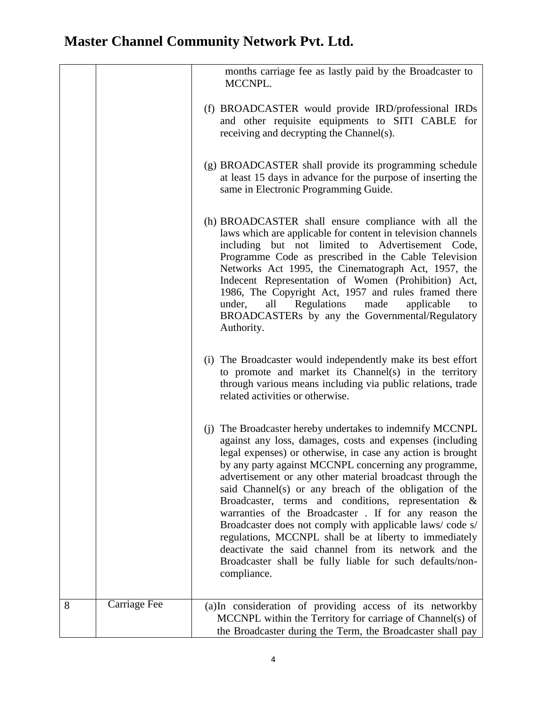|   |                     | months carriage fee as lastly paid by the Broadcaster to<br>MCCNPL.                                                                                                                                                                                                                                                                                                                                                                                                                                                                                                                                                                                                                                                                          |
|---|---------------------|----------------------------------------------------------------------------------------------------------------------------------------------------------------------------------------------------------------------------------------------------------------------------------------------------------------------------------------------------------------------------------------------------------------------------------------------------------------------------------------------------------------------------------------------------------------------------------------------------------------------------------------------------------------------------------------------------------------------------------------------|
|   |                     | (f) BROADCASTER would provide IRD/professional IRDs<br>and other requisite equipments to SITI CABLE for<br>receiving and decrypting the Channel(s).                                                                                                                                                                                                                                                                                                                                                                                                                                                                                                                                                                                          |
|   |                     | (g) BROADCASTER shall provide its programming schedule<br>at least 15 days in advance for the purpose of inserting the<br>same in Electronic Programming Guide.                                                                                                                                                                                                                                                                                                                                                                                                                                                                                                                                                                              |
|   |                     | (h) BROADCASTER shall ensure compliance with all the<br>laws which are applicable for content in television channels<br>including but not limited to Advertisement Code,<br>Programme Code as prescribed in the Cable Television<br>Networks Act 1995, the Cinematograph Act, 1957, the<br>Indecent Representation of Women (Prohibition) Act,<br>1986, The Copyright Act, 1957 and rules framed there<br>all Regulations made<br>under,<br>applicable<br>to<br>BROADCASTERs by any the Governmental/Regulatory<br>Authority.                                                                                                                                                                                                                |
|   |                     | (i) The Broadcaster would independently make its best effort<br>to promote and market its Channel(s) in the territory<br>through various means including via public relations, trade<br>related activities or otherwise.                                                                                                                                                                                                                                                                                                                                                                                                                                                                                                                     |
|   |                     | (j) The Broadcaster hereby undertakes to indemnify MCCNPL<br>against any loss, damages, costs and expenses (including<br>legal expenses) or otherwise, in case any action is brought<br>by any party against MCCNPL concerning any programme,<br>advertisement or any other material broadcast through the<br>said Channel(s) or any breach of the obligation of the<br>Broadcaster, terms and conditions, representation &<br>warranties of the Broadcaster. If for any reason the<br>Broadcaster does not comply with applicable laws/code s/<br>regulations, MCCNPL shall be at liberty to immediately<br>deactivate the said channel from its network and the<br>Broadcaster shall be fully liable for such defaults/non-<br>compliance. |
| 8 | <b>Carriage Fee</b> | (a)In consideration of providing access of its networkby<br>MCCNPL within the Territory for carriage of Channel(s) of<br>the Broadcaster during the Term, the Broadcaster shall pay                                                                                                                                                                                                                                                                                                                                                                                                                                                                                                                                                          |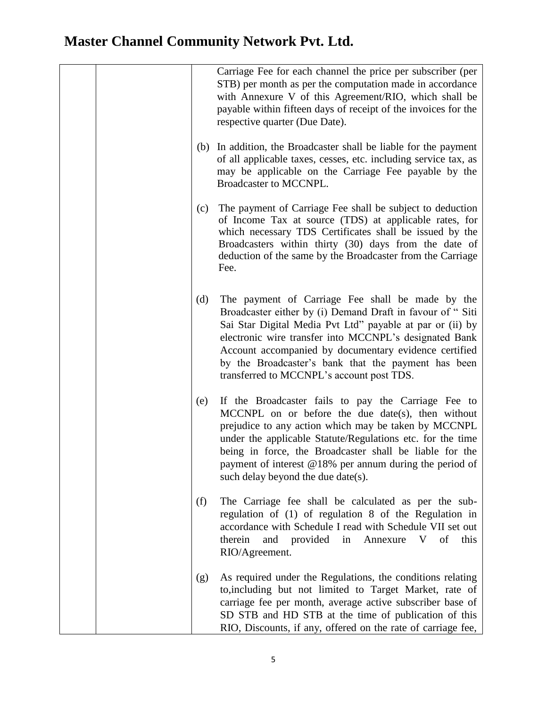|     | Carriage Fee for each channel the price per subscriber (per<br>STB) per month as per the computation made in accordance<br>with Annexure V of this Agreement/RIO, which shall be<br>payable within fifteen days of receipt of the invoices for the<br>respective quarter (Due Date).                                                                                                              |
|-----|---------------------------------------------------------------------------------------------------------------------------------------------------------------------------------------------------------------------------------------------------------------------------------------------------------------------------------------------------------------------------------------------------|
|     | In addition, the Broadcaster shall be liable for the payment<br>(b)<br>of all applicable taxes, cesses, etc. including service tax, as<br>may be applicable on the Carriage Fee payable by the<br>Broadcaster to MCCNPL.                                                                                                                                                                          |
| (c) | The payment of Carriage Fee shall be subject to deduction<br>of Income Tax at source (TDS) at applicable rates, for<br>which necessary TDS Certificates shall be issued by the<br>Broadcasters within thirty (30) days from the date of<br>deduction of the same by the Broadcaster from the Carriage<br>Fee.                                                                                     |
| (d) | The payment of Carriage Fee shall be made by the<br>Broadcaster either by (i) Demand Draft in favour of "Siti<br>Sai Star Digital Media Pvt Ltd" payable at par or (ii) by<br>electronic wire transfer into MCCNPL's designated Bank<br>Account accompanied by documentary evidence certified<br>by the Broadcaster's bank that the payment has been<br>transferred to MCCNPL's account post TDS. |
| (e) | If the Broadcaster fails to pay the Carriage Fee to<br>MCCNPL on or before the due date(s), then without<br>prejudice to any action which may be taken by MCCNPL<br>under the applicable Statute/Regulations etc. for the time<br>being in force, the Broadcaster shall be liable for the<br>payment of interest @18% per annum during the period of<br>such delay beyond the due date(s).        |
| (f) | The Carriage fee shall be calculated as per the sub-<br>regulation of (1) of regulation 8 of the Regulation in<br>accordance with Schedule I read with Schedule VII set out<br>therein<br>provided in Annexure V of<br>and<br>this<br>RIO/Agreement.                                                                                                                                              |
| (g) | As required under the Regulations, the conditions relating<br>to, including but not limited to Target Market, rate of<br>carriage fee per month, average active subscriber base of<br>SD STB and HD STB at the time of publication of this<br>RIO, Discounts, if any, offered on the rate of carriage fee,                                                                                        |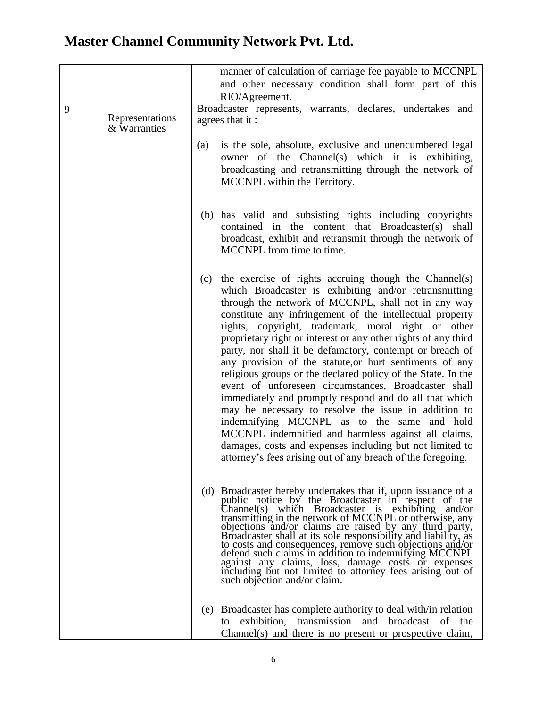|   |                                 | manner of calculation of carriage fee payable to MCCNPL                                                                                                                                                                                                                                                                                                                                                                                                                                                                                                                                                                                                                                                                                                                                                                                                                                                                                                            |
|---|---------------------------------|--------------------------------------------------------------------------------------------------------------------------------------------------------------------------------------------------------------------------------------------------------------------------------------------------------------------------------------------------------------------------------------------------------------------------------------------------------------------------------------------------------------------------------------------------------------------------------------------------------------------------------------------------------------------------------------------------------------------------------------------------------------------------------------------------------------------------------------------------------------------------------------------------------------------------------------------------------------------|
|   |                                 | and other necessary condition shall form part of this<br>RIO/Agreement.                                                                                                                                                                                                                                                                                                                                                                                                                                                                                                                                                                                                                                                                                                                                                                                                                                                                                            |
| 9 | Representations<br>& Warranties | Broadcaster represents, warrants, declares, undertakes and<br>agrees that it:                                                                                                                                                                                                                                                                                                                                                                                                                                                                                                                                                                                                                                                                                                                                                                                                                                                                                      |
|   |                                 | is the sole, absolute, exclusive and unencumbered legal<br>(a)<br>owner of the Channel(s) which it is exhibiting,<br>broadcasting and retransmitting through the network of<br>MCCNPL within the Territory.                                                                                                                                                                                                                                                                                                                                                                                                                                                                                                                                                                                                                                                                                                                                                        |
|   |                                 | (b) has valid and subsisting rights including copyrights<br>in the content that Broadcaster(s)<br>contained<br>shall<br>broadcast, exhibit and retransmit through the network of<br>MCCNPL from time to time.                                                                                                                                                                                                                                                                                                                                                                                                                                                                                                                                                                                                                                                                                                                                                      |
|   |                                 | the exercise of rights accruing though the Channel(s)<br>(c)<br>which Broadcaster is exhibiting and/or retransmitting<br>through the network of MCCNPL, shall not in any way<br>constitute any infringement of the intellectual property<br>rights, copyright, trademark, moral right or other<br>proprietary right or interest or any other rights of any third<br>party, nor shall it be defamatory, contempt or breach of<br>any provision of the statute, or hurt sentiments of any<br>religious groups or the declared policy of the State. In the<br>event of unforeseen circumstances, Broadcaster shall<br>immediately and promptly respond and do all that which<br>may be necessary to resolve the issue in addition to<br>indemnifying MCCNPL as to the same and hold<br>MCCNPL indemnified and harmless against all claims,<br>damages, costs and expenses including but not limited to<br>attorney's fees arising out of any breach of the foregoing. |
|   |                                 | (d) Broadcaster hereby undertakes that if, upon issuance of a<br>public notice by the Broadcaster in respect of the Channel(s) which Broadcaster is exhibiting and/or<br>transmitting in the network of MCCNPL or otherwise, any<br>objections and/or claims are raised by any third party,<br>Broadcaster shall at its sole responsibility and liability, as<br>to costs and consequences, remove such objections and/or<br>defend such claims in addition to indemnifying MCCNPL<br>against any claims, loss, damage costs or expenses<br>including but not limited to attorney fees arising out of<br>such objection and/or claim.                                                                                                                                                                                                                                                                                                                              |
|   |                                 | Broadcaster has complete authority to deal with/in relation<br>(e)<br>exhibition, transmission and broadcast of the<br>to<br>Channel(s) and there is no present or prospective claim,                                                                                                                                                                                                                                                                                                                                                                                                                                                                                                                                                                                                                                                                                                                                                                              |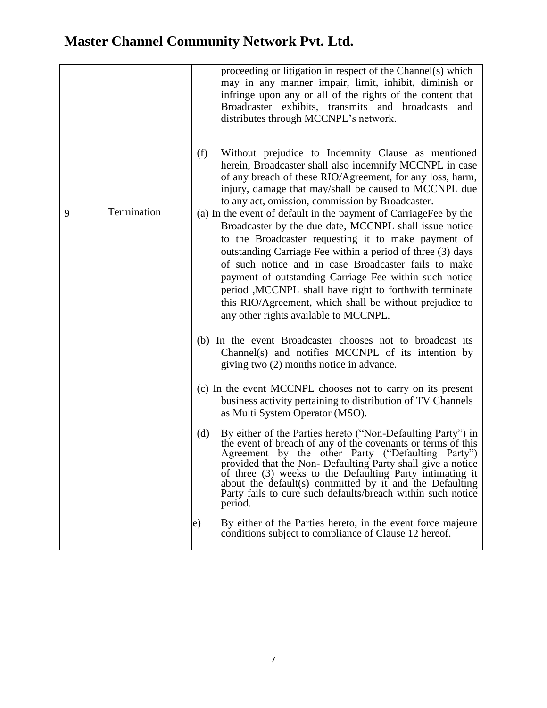|   |             | proceeding or litigation in respect of the Channel(s) which<br>may in any manner impair, limit, inhibit, diminish or<br>infringe upon any or all of the rights of the content that<br>Broadcaster exhibits, transmits and broadcasts<br>and<br>distributes through MCCNPL's network.                                                                                                                                                                                                                                             |
|---|-------------|----------------------------------------------------------------------------------------------------------------------------------------------------------------------------------------------------------------------------------------------------------------------------------------------------------------------------------------------------------------------------------------------------------------------------------------------------------------------------------------------------------------------------------|
|   |             | Without prejudice to Indemnity Clause as mentioned<br>(f)<br>herein, Broadcaster shall also indemnify MCCNPL in case<br>of any breach of these RIO/Agreement, for any loss, harm,<br>injury, damage that may/shall be caused to MCCNPL due<br>to any act, omission, commission by Broadcaster.                                                                                                                                                                                                                                   |
| 9 | Termination | (a) In the event of default in the payment of CarriageFee by the<br>Broadcaster by the due date, MCCNPL shall issue notice<br>to the Broadcaster requesting it to make payment of<br>outstanding Carriage Fee within a period of three (3) days<br>of such notice and in case Broadcaster fails to make<br>payment of outstanding Carriage Fee within such notice<br>period , MCCNPL shall have right to forthwith terminate<br>this RIO/Agreement, which shall be without prejudice to<br>any other rights available to MCCNPL. |
|   |             | (b) In the event Broadcaster chooses not to broadcast its<br>Channel(s) and notifies MCCNPL of its intention by<br>giving two (2) months notice in advance.                                                                                                                                                                                                                                                                                                                                                                      |
|   |             | (c) In the event MCCNPL chooses not to carry on its present<br>business activity pertaining to distribution of TV Channels<br>as Multi System Operator (MSO).                                                                                                                                                                                                                                                                                                                                                                    |
|   |             | By either of the Parties hereto ("Non-Defaulting Party") in<br>(d)<br>the event of breach of any of the covenants or terms of this<br>Agreement by the other Party ("Defaulting Party") provided that the Non- Defaulting Party shall give a notice<br>of three (3) weeks to the Defaulting Party intimating it<br>about the default(s) committed by it and the Defaulting<br>Party fails to cure such defaults/breach within such notice<br>period.                                                                             |
|   |             | By either of the Parties hereto, in the event force majeure<br>e)<br>conditions subject to compliance of Clause 12 hereof.                                                                                                                                                                                                                                                                                                                                                                                                       |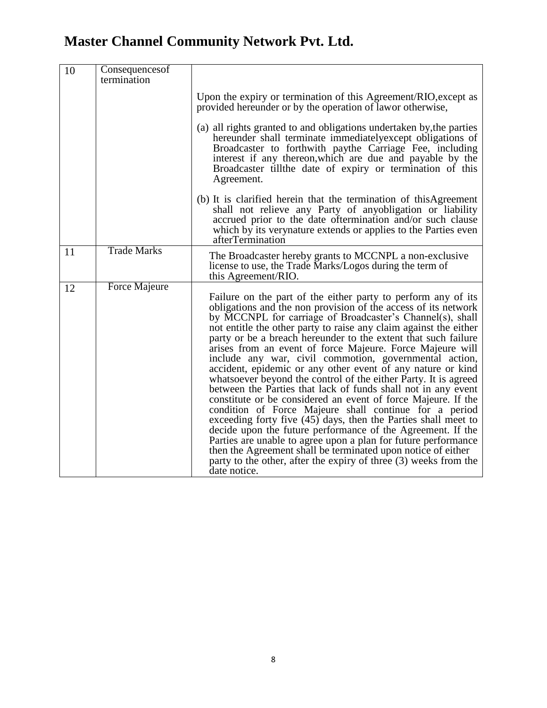| 10 | Consequences of<br>termination |                                                                                                                                                                                                                                                                                                                                                                                                                                                                                                                                                                                                                                                                                                                                                                                                                                                                                                                                                                                                                                                                                                                                                   |
|----|--------------------------------|---------------------------------------------------------------------------------------------------------------------------------------------------------------------------------------------------------------------------------------------------------------------------------------------------------------------------------------------------------------------------------------------------------------------------------------------------------------------------------------------------------------------------------------------------------------------------------------------------------------------------------------------------------------------------------------------------------------------------------------------------------------------------------------------------------------------------------------------------------------------------------------------------------------------------------------------------------------------------------------------------------------------------------------------------------------------------------------------------------------------------------------------------|
|    |                                | Upon the expiry or termination of this Agreement/RIO, except as<br>provided hereunder or by the operation of lawor otherwise,                                                                                                                                                                                                                                                                                                                                                                                                                                                                                                                                                                                                                                                                                                                                                                                                                                                                                                                                                                                                                     |
|    |                                | (a) all rights granted to and obligations undertaken by, the parties<br>hereunder shall terminate immediately except obligations of<br>Broadcaster to forthwith paythe Carriage Fee, including<br>interest if any thereon, which are due and payable by the<br>Broadcaster tillthe date of expiry or termination of this<br>Agreement.                                                                                                                                                                                                                                                                                                                                                                                                                                                                                                                                                                                                                                                                                                                                                                                                            |
|    |                                | (b) It is clarified herein that the termination of this Agreement<br>shall not relieve any Party of anyobligation or liability<br>accrued prior to the date oftermination and/or such clause<br>which by its verynature extends or applies to the Parties even<br>afterTermination                                                                                                                                                                                                                                                                                                                                                                                                                                                                                                                                                                                                                                                                                                                                                                                                                                                                |
| 11 | <b>Trade Marks</b>             | The Broadcaster hereby grants to MCCNPL a non-exclusive<br>license to use, the Trade Marks/Logos during the term of<br>this Agreement/RIO.                                                                                                                                                                                                                                                                                                                                                                                                                                                                                                                                                                                                                                                                                                                                                                                                                                                                                                                                                                                                        |
| 12 | <b>Force Majeure</b>           | Failure on the part of the either party to perform any of its<br>obligations and the non provision of the access of its network<br>by MCCNPL for carriage of Broadcaster's Channel(s), shall<br>not entitle the other party to raise any claim against the either<br>party or be a breach hereunder to the extent that such failure<br>arises from an event of force Majeure. Force Majeure will<br>include any war, civil commotion, governmental action,<br>accident, epidemic or any other event of any nature or kind<br>whatsoever beyond the control of the either Party. It is agreed<br>between the Parties that lack of funds shall not in any event<br>constitute or be considered an event of force Majeure. If the<br>condition of Force Majeure shall continue for a period<br>exceeding forty five $(45)$ days, then the Parties shall meet to<br>decide upon the future performance of the Agreement. If the<br>Parties are unable to agree upon a plan for future performance<br>then the Agreement shall be terminated upon notice of either<br>party to the other, after the expiry of three (3) weeks from the<br>date notice. |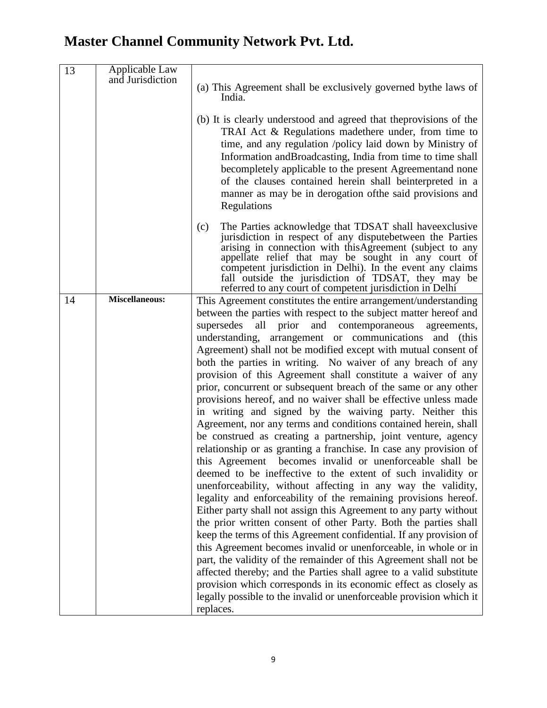| 13 | Applicable Law<br>and Jurisdiction | (a) This Agreement shall be exclusively governed by the laws of<br>India.<br>(b) It is clearly understood and agreed that the provisions of the<br>TRAI Act & Regulations made there under, from time to<br>time, and any regulation /policy laid down by Ministry of<br>Information and Broadcasting, India from time to time shall<br>becompletely applicable to the present Agreementand none<br>of the clauses contained herein shall beinterpreted in a<br>manner as may be in derogation of the said provisions and<br>Regulations                                                                                                                                                                                                                                                                                                                                                                                                                                                                                                                                                                                                                                                                                                                                                                                                                                                                                                                                                                                                                                                                                                                                                                                                |
|----|------------------------------------|-----------------------------------------------------------------------------------------------------------------------------------------------------------------------------------------------------------------------------------------------------------------------------------------------------------------------------------------------------------------------------------------------------------------------------------------------------------------------------------------------------------------------------------------------------------------------------------------------------------------------------------------------------------------------------------------------------------------------------------------------------------------------------------------------------------------------------------------------------------------------------------------------------------------------------------------------------------------------------------------------------------------------------------------------------------------------------------------------------------------------------------------------------------------------------------------------------------------------------------------------------------------------------------------------------------------------------------------------------------------------------------------------------------------------------------------------------------------------------------------------------------------------------------------------------------------------------------------------------------------------------------------------------------------------------------------------------------------------------------------|
|    |                                    | The Parties acknowledge that TDSAT shall have exclusive<br>(c)<br>jurisdiction in respect of any disputebetween the Parties<br>arising in connection with this Agreement (subject to any<br>appellate relief that may be sought in any court of<br>competent jurisdiction in Delhi). In the event any claims<br>fall outside the jurisdiction of TDSAT, they may be<br>referred to any court of competent jurisdiction in Delhi                                                                                                                                                                                                                                                                                                                                                                                                                                                                                                                                                                                                                                                                                                                                                                                                                                                                                                                                                                                                                                                                                                                                                                                                                                                                                                         |
| 14 | <b>Miscellaneous:</b>              | This Agreement constitutes the entire arrangement/understanding<br>between the parties with respect to the subject matter hereof and<br>supersedes<br>all<br>and contemporaneous<br>prior<br>agreements,<br>understanding, arrangement or communications<br>and (this<br>Agreement) shall not be modified except with mutual consent of<br>both the parties in writing. No waiver of any breach of any<br>provision of this Agreement shall constitute a waiver of any<br>prior, concurrent or subsequent breach of the same or any other<br>provisions hereof, and no waiver shall be effective unless made<br>in writing and signed by the waiving party. Neither this<br>Agreement, nor any terms and conditions contained herein, shall<br>be construed as creating a partnership, joint venture, agency<br>relationship or as granting a franchise. In case any provision of<br>this Agreement becomes invalid or unenforceable shall be<br>deemed to be ineffective to the extent of such invalidity or<br>unenforceability, without affecting in any way the validity,<br>legality and enforceability of the remaining provisions hereof.<br>Either party shall not assign this Agreement to any party without<br>the prior written consent of other Party. Both the parties shall<br>keep the terms of this Agreement confidential. If any provision of<br>this Agreement becomes invalid or unenforceable, in whole or in<br>part, the validity of the remainder of this Agreement shall not be<br>affected thereby; and the Parties shall agree to a valid substitute<br>provision which corresponds in its economic effect as closely as<br>legally possible to the invalid or unenforceable provision which it<br>replaces. |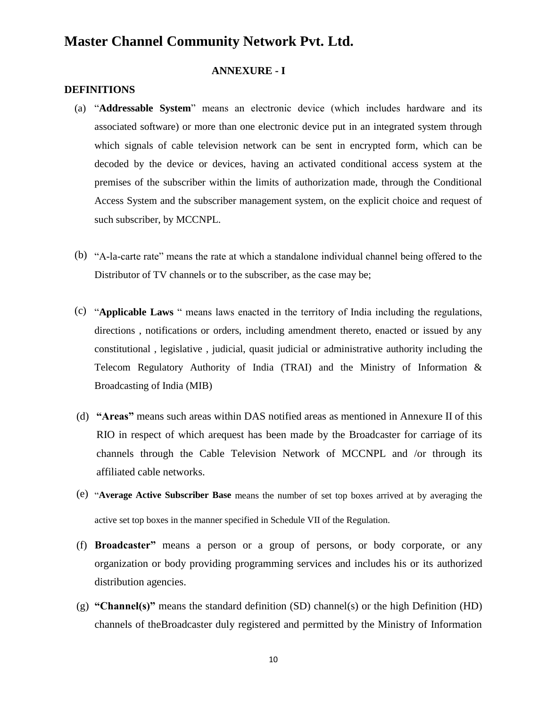#### **ANNEXURE - I**

#### **DEFINITIONS**

- (a) "**Addressable System**" means an electronic device (which includes hardware and its associated software) or more than one electronic device put in an integrated system through which signals of cable television network can be sent in encrypted form, which can be decoded by the device or devices, having an activated conditional access system at the premises of the subscriber within the limits of authorization made, through the Conditional Access System and the subscriber management system, on the explicit choice and request of such subscriber, by MCCNPL.
- (b) "A-la-carte rate" means the rate at which a standalone individual channel being offered to the Distributor of TV channels or to the subscriber, as the case may be;
- (c) "**Applicable Laws** " means laws enacted in the territory of India including the regulations, directions , notifications or orders, including amendment thereto, enacted or issued by any constitutional , legislative , judicial, quasit judicial or administrative authority including the Telecom Regulatory Authority of India (TRAI) and the Ministry of Information & Broadcasting of India (MIB)
- (d) **"Areas"** means such areas within DAS notified areas as mentioned in Annexure II of this RIO in respect of which arequest has been made by the Broadcaster for carriage of its channels through the Cable Television Network of MCCNPL and /or through its affiliated cable networks.
- (e) "**Average Active Subscriber Base** means the number of set top boxes arrived at by averaging the active set top boxes in the manner specified in Schedule VII of the Regulation.
- (f) **Broadcaster"** means a person or a group of persons, or body corporate, or any organization or body providing programming services and includes his or its authorized distribution agencies.
- (g) **"Channel(s)"** means the standard definition (SD) channel(s) or the high Definition (HD) channels of theBroadcaster duly registered and permitted by the Ministry of Information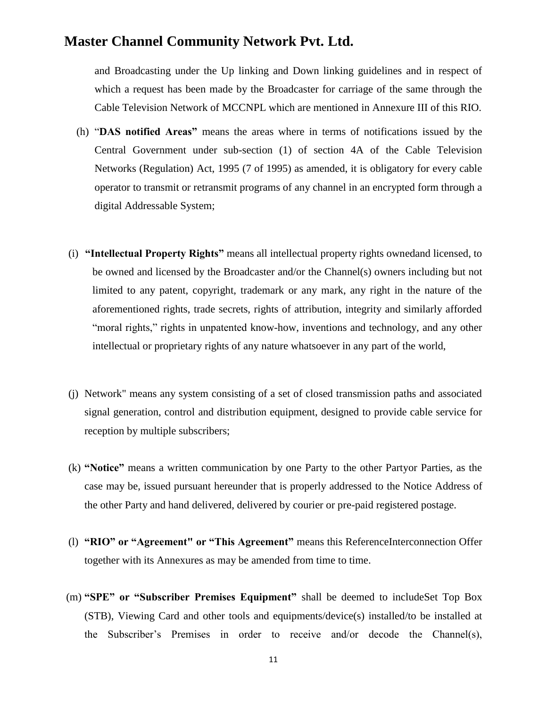and Broadcasting under the Up linking and Down linking guidelines and in respect of which a request has been made by the Broadcaster for carriage of the same through the Cable Television Network of MCCNPL which are mentioned in Annexure III of this RIO.

- (h) "**DAS notified Areas"** means the areas where in terms of notifications issued by the Central Government under sub-section (1) of section 4A of the Cable Television Networks (Regulation) Act, 1995 (7 of 1995) as amended, it is obligatory for every cable operator to transmit or retransmit programs of any channel in an encrypted form through a digital Addressable System;
- (i) **"Intellectual Property Rights"** means all intellectual property rights ownedand licensed, to be owned and licensed by the Broadcaster and/or the Channel(s) owners including but not limited to any patent, copyright, trademark or any mark, any right in the nature of the aforementioned rights, trade secrets, rights of attribution, integrity and similarly afforded "moral rights," rights in unpatented know-how, inventions and technology, and any other intellectual or proprietary rights of any nature whatsoever in any part of the world,
- (j) Network" means any system consisting of a set of closed transmission paths and associated signal generation, control and distribution equipment, designed to provide cable service for reception by multiple subscribers;
- (k) **"Notice"** means a written communication by one Party to the other Partyor Parties, as the case may be, issued pursuant hereunder that is properly addressed to the Notice Address of the other Party and hand delivered, delivered by courier or pre-paid registered postage.
- (l) **"RIO" or "Agreement" or "This Agreement"** means this ReferenceInterconnection Offer together with its Annexures as may be amended from time to time.
- (m) **"SPE" or "Subscriber Premises Equipment"** shall be deemed to includeSet Top Box (STB), Viewing Card and other tools and equipments/device(s) installed/to be installed at the Subscriber's Premises in order to receive and/or decode the Channel(s),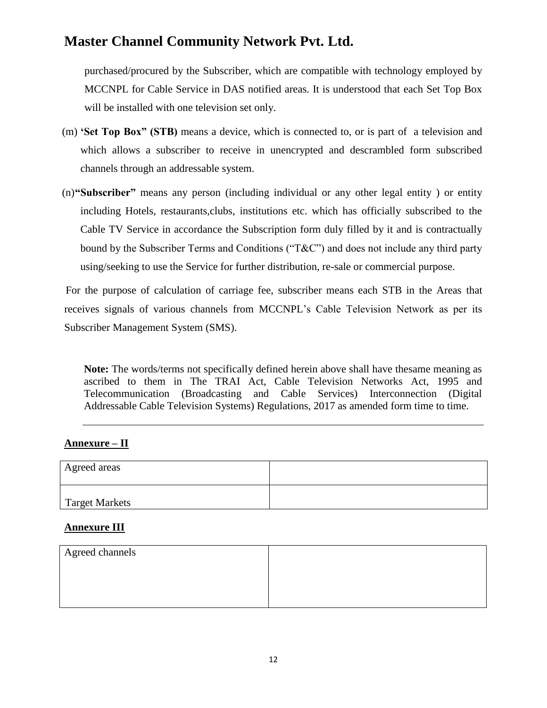purchased/procured by the Subscriber, which are compatible with technology employed by MCCNPL for Cable Service in DAS notified areas. It is understood that each Set Top Box will be installed with one television set only.

- (m) **'Set Top Box" (STB)** means a device, which is connected to, or is part of a television and which allows a subscriber to receive in unencrypted and descrambled form subscribed channels through an addressable system.
- (n)**"Subscriber"** means any person (including individual or any other legal entity ) or entity including Hotels, restaurants,clubs, institutions etc. which has officially subscribed to the Cable TV Service in accordance the Subscription form duly filled by it and is contractually bound by the Subscriber Terms and Conditions ("T&C") and does not include any third party using/seeking to use the Service for further distribution, re-sale or commercial purpose.

For the purpose of calculation of carriage fee, subscriber means each STB in the Areas that receives signals of various channels from MCCNPL's Cable Television Network as per its Subscriber Management System (SMS).

**Note:** The words/terms not specifically defined herein above shall have thesame meaning as ascribed to them in The TRAI Act, Cable Television Networks Act, 1995 and Telecommunication (Broadcasting and Cable Services) Interconnection (Digital Addressable Cable Television Systems) Regulations, 2017 as amended form time to time.

#### **Annexure – II**

| Agreed areas          |  |
|-----------------------|--|
| <b>Target Markets</b> |  |

#### **Annexure III**

| Agreed channels |  |
|-----------------|--|
|                 |  |
|                 |  |
|                 |  |